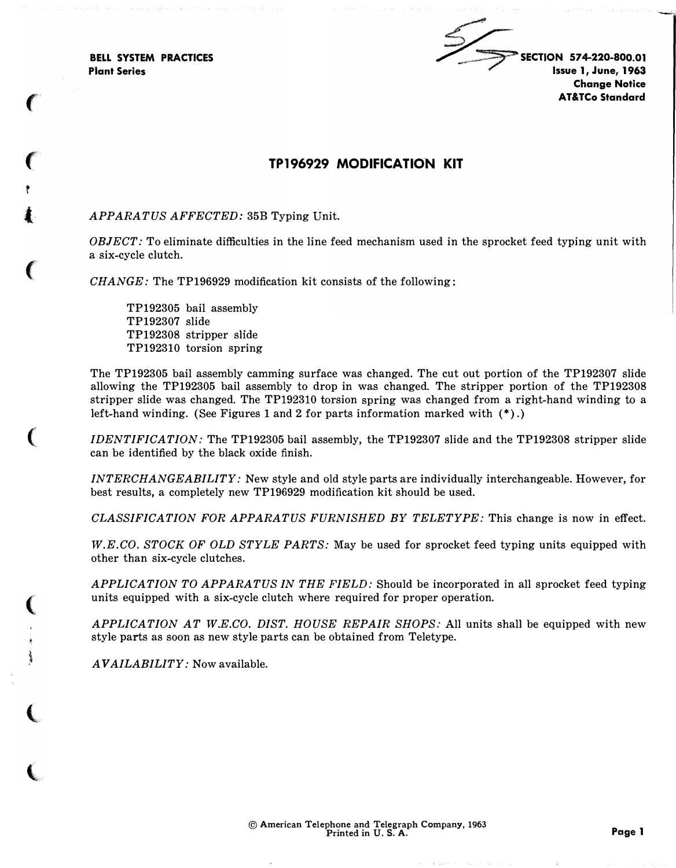BELL SYSTEM PRACTICES Plant Series

 $\epsilon$ 

 $\epsilon$ 

t

 $\mathbf{I}$ 

 $\big($ 

 $\big($ 

(

)<br>)<br>)

(

 $\big($ 

 $\leq$ SECTION 574-220-800.01 Issue 1, June, 1963 Change Notice AT&TCo Standard

�, ..

## TP 196929 MODIFICATION KIT

## APPARATUS AFFECTED: 35B Typing Unit.

 $OBIECT:$  To eliminate difficulties in the line feed mechanism used in the sprocket feed typing unit with a six-cycle clutch.

CHANGE: The TP196929 modification kit consists of the following:

TP192305 bail assembly TP192307 slide TP192308 stripper slide TP192310 torsion spring

The TP192305 bail assembly camming surface was changed. The cut out portion of the TP192307 slide allowing the TP192305 bail assembly to drop in was changed. The stripper portion of the TP192308 stripper slide was changed. The TP192310 torsion spring was changed from a right-hand winding to a left-hand winding. (See Figures 1 and 2 for parts information marked with (\*) .)

IDENTIFICATION: The TP192305 bail assembly, the TP192307 slide and the TP192308 stripper slide can be identified by the black oxide finish.

INTERCHANGEABILITY: New style and old style parts are individually interchangeable. However, for best results, a completely new TP196929 modification kit should be used.

CLASSIFICATION FOR APPARATUS FURNISHED BY TELETYPE: This change is now in effect.

W.E.CO. STOCK OF OLD STYLE PARTS: May be used for sprocket feed typing units equipped with other than six-cycle clutches.

APPLICATION TO APPARATUS IN THE FIELD: Should be incorporated in all sprocket feed typing units equipped with a six-cycle clutch where required for proper operation.

APPLICATION AT W.E.CO. DIST. HOUSE REPAIR SHOPS: All units shall be equipped with new style parts as soon as new style parts can be obtained from Teletype.

AVAILABILITY: Now available.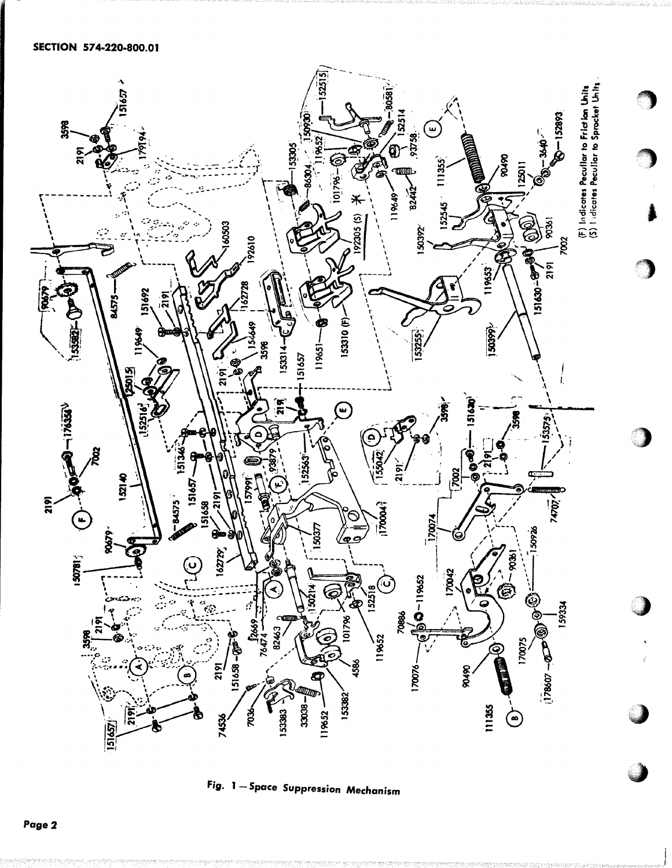

Fig. 1 - Space Suppression Mechanism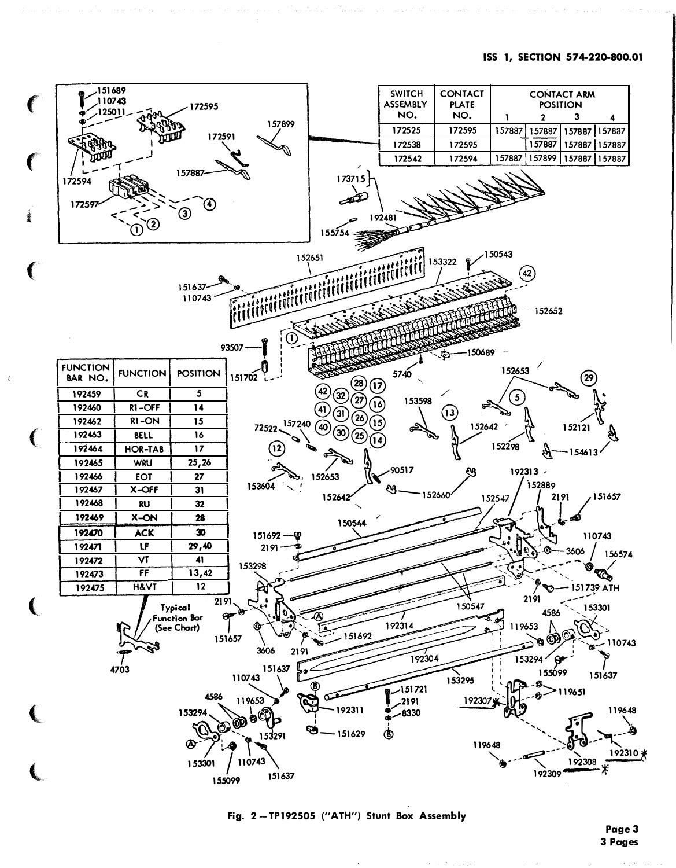

Fig. 2-TP192505 ("ATH") Stunt Box Assembly